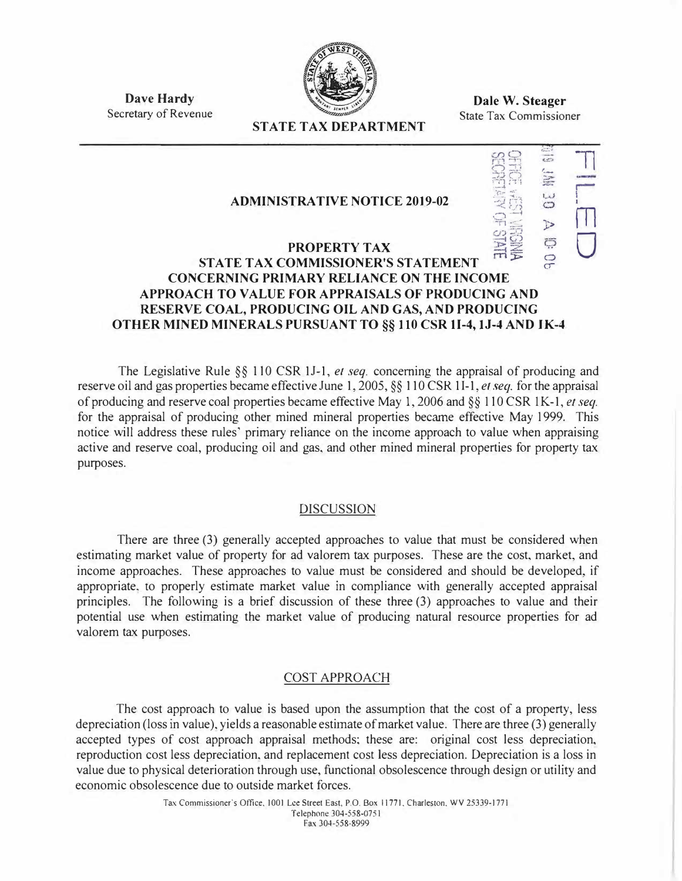

**Dale W. Steager**  State Tax Commissioner

> $\overline{\phantom{a}}$  $\frac{1}{2}$  $"`$

 $\Box$ 

r **I** 

i<br>M

 $\bigcup$ 

J>

**Dave Hardy**  Secretary of Revenue

# **STATE TAX DEPARTMENT**

# **ADMINISTRATIVE NOTICE 2019-02**

# lVLS 3D õ **PROPERTY TAX STATE TAX COMMISSIONER'S STATEMENT CONCERNING PRIMARY RELIANCE ON THE INCOME APPROACH TO VALUE FOR APPRAISALS OF PRODUCING AND RESERVE COAL, PRODUCING OIL AND GAS, AND PRODUCING OTHER MINED MINERALS PURSUANT TO§§ I 10 CSR 11-4, IJ-4 AND IK-4**

The Legislative Rule §§ 110 CSR 1J-1, *et seq.* concerning the appraisal of producing and reserve oil and gas properties became effective June 1, 2005, §§ 110 CSR 11-1, *et seq.* for the appraisal of producing and reserve coal properties became effective May 1, 2006 and§§ 110 CSR lK-1, *et seq.*  for the appraisal of producing other mined mineral properties became effective May 1999. This notice will address these rules' primary reliance on the income approach to value when appraising active and reserve coal, producing oil and gas, and other mined mineral properties for property tax purposes.

### DISCUSSION

There are three (3) generally accepted approaches to value that must be considered when estimating market value of property for ad valorem tax purposes. These are the cost, market, and income approaches. These approaches to value must **be** considered and should be developed, if appropriate. to properly estimate market value in compliance with generally accepted appraisal principles. The following is a brief discussion of these three (3) approaches to value and their potential use when estimating the market value of producing natural resource properties for ad valorem tax purposes.

### COST APPROACH

The cost approach to value is based upon the assumption that the cost of a property, less depreciation (loss in value), yields a reasonable estimate of market value. There are three (3) generally accepted types of cost approach appraisal methods; these are: original cost less depreciation, reproduction cost less depreciation. and replacement cost less depreciation. Depreciation is a loss in value due to physical deterioration through use, functional obsolescence through design or utility and economic obsolescence due to outside market forces.

> Tax Commissioner"s Office, 1001 Lee Street East, P.O. Box 11771. Charleston. WV 25339-1771 Telephone 304-558-0751 Fax 304-558-8999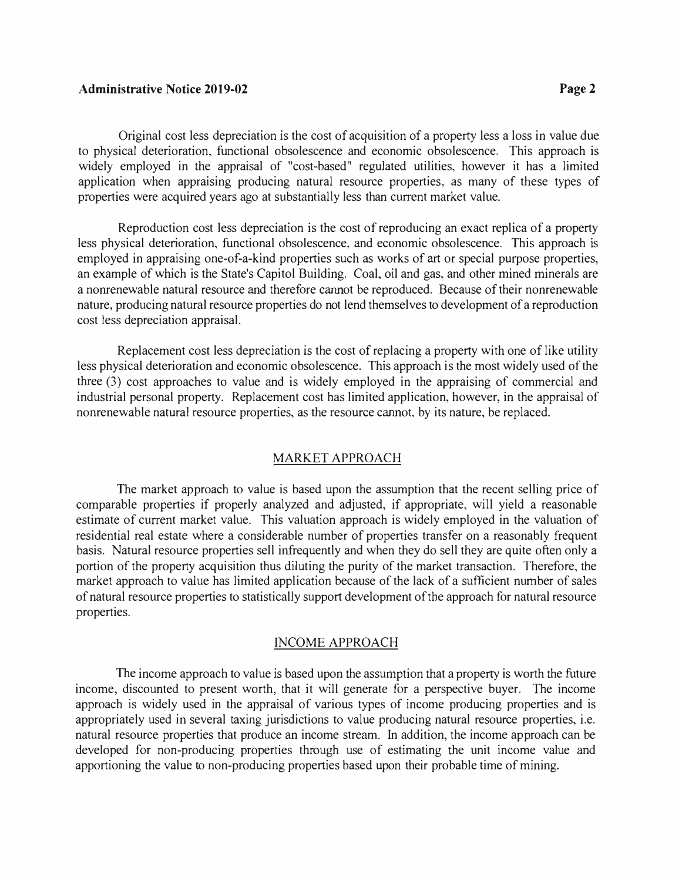#### **Administrative Notice 2019-02 Page2**

Original cost less depreciation is the cost of acquisition of a property less a loss in value due to physical deterioration, functional obsolescence and economic obsolescence. This approach is widely employed in the appraisal of "cost-based" regulated utilities, however it has a limited application when appraising producing natural resource properties, as many of these types of properties were acquired years ago at substantially less than current market value.

Reproduction cost less depreciation is the cost of reproducing an exact replica of a property less physical deterioration, functional obsolescence, and economic obsolescence. This approach is employed in appraising one-of-a-kind properties such as works of art or special purpose properties, an example of which is the State's Capitol Building. Coal, oil and gas, and other mined minerals are a nonrenewable natural resource and therefore cannot be reproduced. Because of their nonrenewable nature, producing natural resource properties do not lend themselves to development of a reproduction cost less depreciation appraisal.

Replacement cost less depreciation is the cost of replacing a property with one of like utility less physical deterioration and economic obsolescence. This approach is the most widely used of the three (3) cost approaches to value and is widely employed in the appraising of commercial and industrial personal property. Replacement cost has limited application, however, in the appraisal of nonrenewable natural resource properties, as the resource cannot. by its nature, be replaced.

### MARKET APPROACH

The market approach to value is based upon the assumption that the recent selling price of comparable properties if properly analyzed and adjusted, if appropriate, will yield a reasonable estimate of current market value. This valuation approach is widely employed in the valuation of residential real estate where a considerable number of properties transfer on a reasonably frequent basis. Natural resource properties sell infrequently and when they do sell they are quite often only a portion of the property acquisition thus diluting the purity of the market transaction. Therefore, the market approach to value has limited application because of the lack of a sufficient number of sales of natural resource properties to statistically support development of the approach for natural resource properties.

#### INCOME APPROACH

The income approach to value is based upon the assumption that a property is worth the future income, discounted to present worth, that it will generate for a perspective buyer. The income approach is widely used in the appraisal of various types of income producing properties and is appropriately used in several taxing jurisdictions to value producing natural resource properties, i.e. natural resource properties that produce an income stream. In addition, the income approach can be developed for non-producing properties through use of estimating the unit income value and apportioning the value to non-producing properties based upon their probable time of mining.